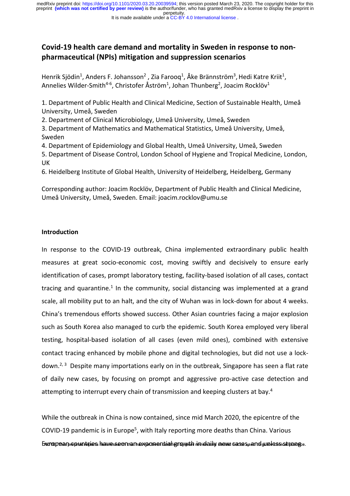perpetuity. preprint **(which was not certified by peer review)** is the author/funder, who has granted medRxiv a license to display the preprint in medRxiv preprint doi: [https://doi.org/10.1101/2020.03.20.20039594;](https://doi.org/10.1101/2020.03.20.20039594) this version posted March 23, 2020. The copyright holder for this

#### It is made available under a CC-BY 4.0 International license.

# **Covid-19 health care demand and mortality in Sweden in response to nonpharmaceutical (NPIs) mitigation and suppression scenarios**

Henrik Sjödin<sup>1</sup>, Anders F. Johansson<sup>2</sup>, Zia Farooq<sup>1</sup>, Åke Brännström<sup>3</sup>, Hedi Katre Kriit<sup>1</sup>, Annelies Wilder-Smith<sup>4-6</sup>, Christofer Åström<sup>1</sup>, Johan Thunberg<sup>2</sup>, Joacim Rocklöv<sup>1</sup>

1. Department of Public Health and Clinical Medicine, Section of Sustainable Health, Umeå University, Umeå, Sweden

2. Department of Clinical Microbiology, Umeå University, Umeå, Sweden

3. Department of Mathematics and Mathematical Statistics, Umeå University, Umeå, Sweden

4. Department of Epidemiology and Global Health, Umeå University, Umeå, Sweden 5. Department of Disease Control, London School of Hygiene and Tropical Medicine, London, UK

6. Heidelberg Institute of Global Health, University of Heidelberg, Heidelberg, Germany

Corresponding author: Joacim Rocklöv, Department of Public Health and Clinical Medicine, Umeå University, Umeå, Sweden. Email: joacim.rocklov@umu.se

## **Introduction**

In response to the COVID-19 outbreak, China implemented extraordinary public health measures at great socio-economic cost, moving swiftly and decisively to ensure early identification of cases, prompt laboratory testing, facility-based isolation of all cases, contact tracing and quarantine.<sup>1</sup> In the community, social distancing was implemented at a grand scale, all mobility put to an halt, and the city of Wuhan was in lock-down for about 4 weeks. China's tremendous efforts showed success. Other Asian countries facing a major explosion such as South Korea also managed to curb the epidemic. South Korea employed very liberal testing, hospital-based isolation of all cases (even mild ones), combined with extensive contact tracing enhanced by mobile phone and digital technologies, but did not use a lockdown.<sup>2, 3</sup> Despite many importations early on in the outbreak, Singapore has seen a flat rate of daily new cases, by focusing on prompt and aggressive pro-active case detection and attempting to interrupt every chain of transmission and keeping clusters at bay.<sup>4</sup>

While the outbreak in China is now contained, since mid March 2020, the epicentre of the COVID-19 pandemic is in Europe<sup>5</sup>, with Italy reporting more deaths than China. Various Evundepenan prepunntapiens hawessaren nama syponaen taian hag now daily shews causes, and guid lessical ponger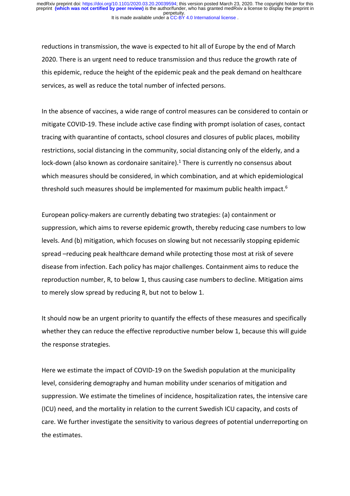reductions in transmission, the wave is expected to hit all of Europe by the end of March 2020. There is an urgent need to reduce transmission and thus reduce the growth rate of this epidemic, reduce the height of the epidemic peak and the peak demand on healthcare services, as well as reduce the total number of infected persons.

In the absence of vaccines, a wide range of control measures can be considered to contain or mitigate COVID-19. These include active case finding with prompt isolation of cases, contact tracing with quarantine of contacts, school closures and closures of public places, mobility restrictions, social distancing in the community, social distancing only of the elderly, and a lock-down (also known as cordonaire sanitaire). $1$  There is currently no consensus about which measures should be considered, in which combination, and at which epidemiological threshold such measures should be implemented for maximum public health impact.6

European policy-makers are currently debating two strategies: (a) containment or suppression, which aims to reverse epidemic growth, thereby reducing case numbers to low levels. And (b) mitigation, which focuses on slowing but not necessarily stopping epidemic spread –reducing peak healthcare demand while protecting those most at risk of severe disease from infection. Each policy has major challenges. Containment aims to reduce the reproduction number, R, to below 1, thus causing case numbers to decline. Mitigation aims to merely slow spread by reducing R, but not to below 1.

It should now be an urgent priority to quantify the effects of these measures and specifically whether they can reduce the effective reproductive number below 1, because this will guide the response strategies.

Here we estimate the impact of COVID-19 on the Swedish population at the municipality level, considering demography and human mobility under scenarios of mitigation and suppression. We estimate the timelines of incidence, hospitalization rates, the intensive care (ICU) need, and the mortality in relation to the current Swedish ICU capacity, and costs of care. We further investigate the sensitivity to various degrees of potential underreporting on the estimates.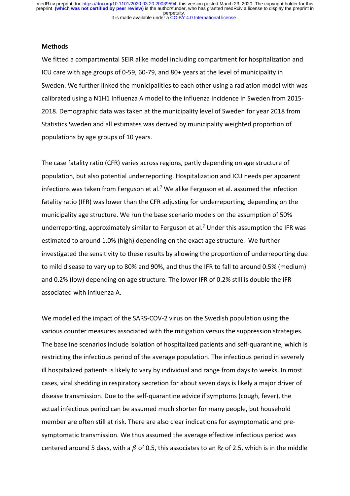It is made available under a CC-BY 4.0 International license. perpetuity. medRxiv preprint doi: [https://doi.org/10.1101/2020.03.20.20039594;](https://doi.org/10.1101/2020.03.20.20039594) this version posted March 23, 2020. The copyright holder for this<br>preprint (which was not certified by peer review) is the author/funder, who has granted m

### **Methods**

We fitted a compartmental SEIR alike model including compartment for hospitalization and ICU care with age groups of 0-59, 60-79, and 80+ years at the level of municipality in Sweden. We further linked the municipalities to each other using a radiation model with was calibrated using a N1H1 Influenza A model to the influenza incidence in Sweden from 2015- 2018. Demographic data was taken at the municipality level of Sweden for year 2018 from Statistics Sweden and all estimates was derived by municipality weighted proportion of populations by age groups of 10 years.

The case fatality ratio (CFR) varies across regions, partly depending on age structure of population, but also potential underreporting. Hospitalization and ICU needs per apparent infections was taken from Ferguson et al.<sup>7</sup> We alike Ferguson et al. assumed the infection fatality ratio (IFR) was lower than the CFR adjusting for underreporting, depending on the municipality age structure. We run the base scenario models on the assumption of 50% underreporting, approximately similar to Ferguson et al.<sup>7</sup> Under this assumption the IFR was estimated to around 1.0% (high) depending on the exact age structure. We further investigated the sensitivity to these results by allowing the proportion of underreporting due to mild disease to vary up to 80% and 90%, and thus the IFR to fall to around 0.5% (medium) and 0.2% (low) depending on age structure. The lower IFR of 0.2% still is double the IFR associated with influenza A.

We modelled the impact of the SARS-COV-2 virus on the Swedish population using the various counter measures associated with the mitigation versus the suppression strategies. The baseline scenarios include isolation of hospitalized patients and self-quarantine, which is restricting the infectious period of the average population. The infectious period in severely ill hospitalized patients is likely to vary by individual and range from days to weeks. In most cases, viral shedding in respiratory secretion for about seven days is likely a major driver of disease transmission. Due to the self-quarantine advice if symptoms (cough, fever), the actual infectious period can be assumed much shorter for many people, but household member are often still at risk. There are also clear indications for asymptomatic and presymptomatic transmission. We thus assumed the average effective infectious period was centered around 5 days, with a  $\beta$  of 0.5, this associates to an R<sub>0</sub> of 2.5, which is in the middle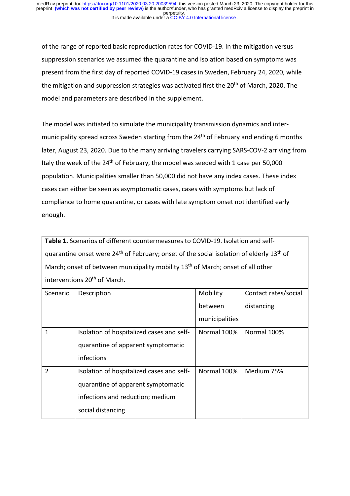of the range of reported basic reproduction rates for COVID-19. In the mitigation versus suppression scenarios we assumed the quarantine and isolation based on symptoms was present from the first day of reported COVID-19 cases in Sweden, February 24, 2020, while the mitigation and suppression strategies was activated first the 20<sup>th</sup> of March, 2020. The model and parameters are described in the supplement.

The model was initiated to simulate the municipality transmission dynamics and intermunicipality spread across Sweden starting from the 24<sup>th</sup> of February and ending 6 months later, August 23, 2020. Due to the many arriving travelers carrying SARS-COV-2 arriving from Italy the week of the  $24<sup>th</sup>$  of February, the model was seeded with 1 case per 50,000 population. Municipalities smaller than 50,000 did not have any index cases. These index cases can either be seen as asymptomatic cases, cases with symptoms but lack of compliance to home quarantine, or cases with late symptom onset not identified early enough.

**Table 1.** Scenarios of different countermeasures to COVID-19. Isolation and selfquarantine onset were  $24<sup>th</sup>$  of February; onset of the social isolation of elderly  $13<sup>th</sup>$  of March; onset of between municipality mobility 13<sup>th</sup> of March; onset of all other interventions 20<sup>th</sup> of March.

| Scenario       | Description                               | Mobility       | Contact rates/social |
|----------------|-------------------------------------------|----------------|----------------------|
|                |                                           | between        | distancing           |
|                |                                           | municipalities |                      |
| 1              | Isolation of hospitalized cases and self- | Normal 100%    | Normal 100%          |
|                | quarantine of apparent symptomatic        |                |                      |
|                | infections                                |                |                      |
| $\overline{2}$ | Isolation of hospitalized cases and self- | Normal 100%    | Medium 75%           |
|                | quarantine of apparent symptomatic        |                |                      |
|                | infections and reduction; medium          |                |                      |
|                | social distancing                         |                |                      |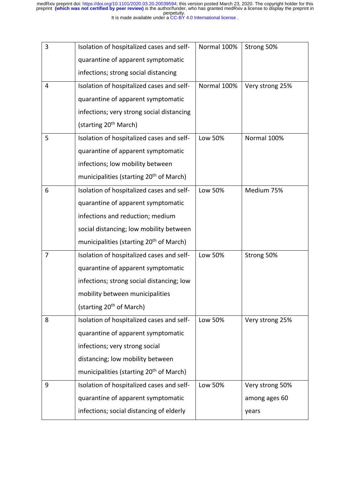| It is made available under a CC-BY 4.0 International license. |  |  |  |
|---------------------------------------------------------------|--|--|--|
|                                                               |  |  |  |

| 3              | Isolation of hospitalized cases and self-           | Normal 100% | Strong 50%      |
|----------------|-----------------------------------------------------|-------------|-----------------|
|                | quarantine of apparent symptomatic                  |             |                 |
|                | infections; strong social distancing                |             |                 |
| 4              | Isolation of hospitalized cases and self-           | Normal 100% | Very strong 25% |
|                | quarantine of apparent symptomatic                  |             |                 |
|                | infections; very strong social distancing           |             |                 |
|                | (starting 20 <sup>th</sup> March)                   |             |                 |
| 5              | Isolation of hospitalized cases and self-           | Low 50%     | Normal 100%     |
|                | quarantine of apparent symptomatic                  |             |                 |
|                | infections; low mobility between                    |             |                 |
|                | municipalities (starting 20 <sup>th</sup> of March) |             |                 |
| 6              | Isolation of hospitalized cases and self-           | Low 50%     | Medium 75%      |
|                | quarantine of apparent symptomatic                  |             |                 |
|                | infections and reduction; medium                    |             |                 |
|                | social distancing; low mobility between             |             |                 |
|                | municipalities (starting 20 <sup>th</sup> of March) |             |                 |
| $\overline{7}$ | Isolation of hospitalized cases and self-           | Low 50%     | Strong 50%      |
|                | quarantine of apparent symptomatic                  |             |                 |
|                | infections; strong social distancing; low           |             |                 |
|                | mobility between municipalities                     |             |                 |
|                | (starting 20 <sup>th</sup> of March)                |             |                 |
| 8              | Isolation of hospitalized cases and self-           | Low 50%     | Very strong 25% |
|                | quarantine of apparent symptomatic                  |             |                 |
|                | infections; very strong social                      |             |                 |
|                | distancing; low mobility between                    |             |                 |
|                | municipalities (starting 20 <sup>th</sup> of March) |             |                 |
| 9              | Isolation of hospitalized cases and self-           | Low 50%     | Very strong 50% |
|                | quarantine of apparent symptomatic                  |             | among ages 60   |
|                | infections; social distancing of elderly            |             | years           |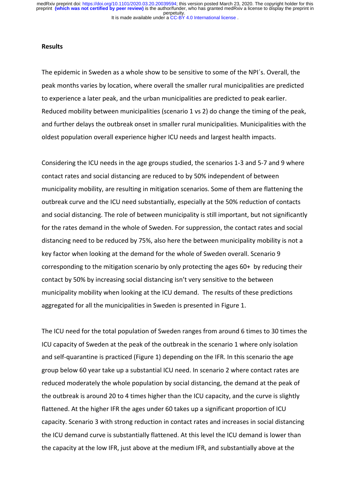It is made available under a CC-BY 4.0 International license. perpetuity. preprint **(which was not certified by peer review)** is the author/funder, who has granted medRxiv a license to display the preprint in medRxiv preprint doi: [https://doi.org/10.1101/2020.03.20.20039594;](https://doi.org/10.1101/2020.03.20.20039594) this version posted March 23, 2020. The copyright holder for this

### **Results**

The epidemic in Sweden as a whole show to be sensitive to some of the NPI´s. Overall, the peak months varies by location, where overall the smaller rural municipalities are predicted to experience a later peak, and the urban municipalities are predicted to peak earlier. Reduced mobility between municipalities (scenario 1 vs 2) do change the timing of the peak, and further delays the outbreak onset in smaller rural municipalities. Municipalities with the oldest population overall experience higher ICU needs and largest health impacts.

Considering the ICU needs in the age groups studied, the scenarios 1-3 and 5-7 and 9 where contact rates and social distancing are reduced to by 50% independent of between municipality mobility, are resulting in mitigation scenarios. Some of them are flattening the outbreak curve and the ICU need substantially, especially at the 50% reduction of contacts and social distancing. The role of between municipality is still important, but not significantly for the rates demand in the whole of Sweden. For suppression, the contact rates and social distancing need to be reduced by 75%, also here the between municipality mobility is not a key factor when looking at the demand for the whole of Sweden overall. Scenario 9 corresponding to the mitigation scenario by only protecting the ages 60+ by reducing their contact by 50% by increasing social distancing isn't very sensitive to the between municipality mobility when looking at the ICU demand. The results of these predictions aggregated for all the municipalities in Sweden is presented in Figure 1.

The ICU need for the total population of Sweden ranges from around 6 times to 30 times the ICU capacity of Sweden at the peak of the outbreak in the scenario 1 where only isolation and self-quarantine is practiced (Figure 1) depending on the IFR. In this scenario the age group below 60 year take up a substantial ICU need. In scenario 2 where contact rates are reduced moderately the whole population by social distancing, the demand at the peak of the outbreak is around 20 to 4 times higher than the ICU capacity, and the curve is slightly flattened. At the higher IFR the ages under 60 takes up a significant proportion of ICU capacity. Scenario 3 with strong reduction in contact rates and increases in social distancing the ICU demand curve is substantially flattened. At this level the ICU demand is lower than the capacity at the low IFR, just above at the medium IFR, and substantially above at the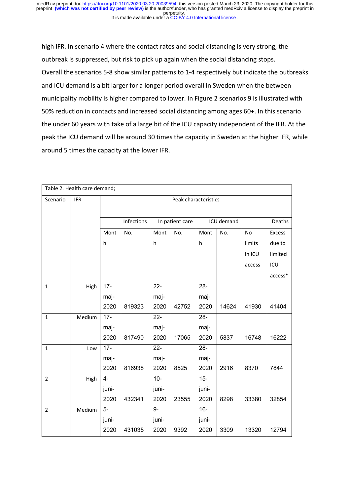It is made available under a CC-BY 4.0 International license. perpetuity. medRxiv preprint doi: [https://doi.org/10.1101/2020.03.20.20039594;](https://doi.org/10.1101/2020.03.20.20039594) this version posted March 23, 2020. The copyright holder for this<br>preprint (which was not certified by peer review) is the author/funder, who has granted m

high IFR. In scenario 4 where the contact rates and social distancing is very strong, the outbreak is suppressed, but risk to pick up again when the social distancing stops. Overall the scenarios 5-8 show similar patterns to 1-4 respectively but indicate the outbreaks and ICU demand is a bit larger for a longer period overall in Sweden when the between municipality mobility is higher compared to lower. In Figure 2 scenarios 9 is illustrated with 50% reduction in contacts and increased social distancing among ages 60+. In this scenario the under 60 years with take of a large bit of the ICU capacity independent of the IFR. At the peak the ICU demand will be around 30 times the capacity in Sweden at the higher IFR, while around 5 times the capacity at the lower IFR.

| Table 2. Health care demand; |            |                      |            |                 |                 |            |       |        |               |
|------------------------------|------------|----------------------|------------|-----------------|-----------------|------------|-------|--------|---------------|
| Scenario                     | <b>IFR</b> | Peak characteristics |            |                 |                 |            |       |        |               |
|                              |            |                      |            |                 |                 |            |       |        |               |
|                              |            |                      | Infections |                 | In patient care | ICU demand |       | Deaths |               |
|                              |            | Mont                 | No.        | Mont            | No.             | Mont       | No.   | No     | <b>Excess</b> |
|                              |            | h                    |            | h               |                 | h          |       | limits | due to        |
|                              |            |                      |            |                 |                 |            |       | in ICU | limited       |
|                              |            |                      |            |                 |                 |            |       | access | ICU           |
|                              |            |                      |            |                 |                 |            |       |        | access*       |
| $\mathbf{1}$                 | High       | $17 -$               |            | $\overline{22}$ |                 | $28 -$     |       |        |               |
|                              |            | maj-                 |            | maj-            |                 | maj-       |       |        |               |
|                              |            | 2020                 | 819323     | 2020            | 42752           | 2020       | 14624 | 41930  | 41404         |
| $\mathbf{1}$                 | Medium     | $17 -$               |            | $22 -$          |                 | $28 -$     |       |        |               |
|                              |            | maj-                 |            | maj-            |                 | maj-       |       |        |               |
|                              |            | 2020                 | 817490     | 2020            | 17065           | 2020       | 5837  | 16748  | 16222         |
| $\mathbf{1}$                 | Low        | $17 -$               |            | $\overline{22}$ |                 | $28 -$     |       |        |               |
|                              |            | maj-                 |            | maj-            |                 | maj-       |       |        |               |
|                              |            | 2020                 | 816938     | 2020            | 8525            | 2020       | 2916  | 8370   | 7844          |
| $\overline{2}$               | High       | $\overline{4}$       |            | $10 -$          |                 | $15-$      |       |        |               |
|                              |            | juni-                |            | juni-           |                 | juni-      |       |        |               |
|                              |            | 2020                 | 432341     | 2020            | 23555           | 2020       | 8298  | 33380  | 32854         |
| $\overline{2}$               | Medium     | $\overline{5}$       |            | $9-$            |                 | $16-$      |       |        |               |
|                              |            | juni-                |            | juni-           |                 | juni-      |       |        |               |
|                              |            | 2020                 | 431035     | 2020            | 9392            | 2020       | 3309  | 13320  | 12794         |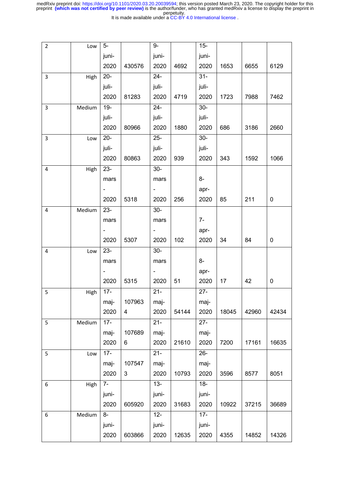It is made available under a CC-BY 4.0 International license.

| $\mathbf{2}$ | Low    | $5-$              |        | $9-$                     |       | $15-$  |       |       |           |
|--------------|--------|-------------------|--------|--------------------------|-------|--------|-------|-------|-----------|
|              |        | juni-             |        | juni-                    |       | juni-  |       |       |           |
|              |        | 2020              | 430576 | 2020                     | 4692  | 2020   | 1653  | 6655  | 6129      |
| 3            | High   | $20 -$            |        | $24 -$                   |       | $31 -$ |       |       |           |
|              |        | juli-             |        | juli-                    |       | juli-  |       |       |           |
|              |        | 2020              | 81283  | 2020                     | 4719  | 2020   | 1723  | 7988  | 7462      |
| 3            | Medium | $19-$             |        | $24 -$                   |       | $30-$  |       |       |           |
|              |        | juli-             |        | juli-                    |       | juli-  |       |       |           |
|              |        | 2020              | 80966  | 2020                     | 1880  | 2020   | 686   | 3186  | 2660      |
| 3            | Low    | $20-$             |        | $25 -$                   |       | $30-$  |       |       |           |
|              |        | juli-             |        | juli-                    |       | juli-  |       |       |           |
|              |        | 2020              | 80863  | 2020                     | 939   | 2020   | 343   | 1592  | 1066      |
| 4            | High   | $\overline{23}$ - |        | $30-$                    |       |        |       |       |           |
|              |        | mars              |        | mars                     |       | 8-     |       |       |           |
|              |        |                   |        | $\overline{\phantom{a}}$ |       | apr-   |       |       |           |
|              |        | 2020              | 5318   | 2020                     | 256   | 2020   | 85    | 211   | 0         |
| 4            | Medium | $23 -$            |        | $30-$                    |       |        |       |       |           |
|              |        | mars              |        | mars                     |       | $7-$   |       |       |           |
|              |        |                   |        |                          |       | apr-   |       |       |           |
|              |        | 2020              | 5307   | 2020                     | 102   | 2020   | 34    | 84    | $\pmb{0}$ |
| 4            | Low    | $23 -$            |        | $30-$                    |       |        |       |       |           |
|              |        | mars              |        | mars                     |       | $8-$   |       |       |           |
|              |        |                   |        | $\overline{\phantom{a}}$ |       | apr-   |       |       |           |
|              |        | 2020              | 5315   | 2020                     | 51    | 2020   | 17    | 42    | 0         |
| 5            | High   | $17 -$            |        | $21 -$                   |       | $27 -$ |       |       |           |
|              |        | maj-              | 107963 | maj-                     |       | maj-   |       |       |           |
|              |        | 2020              | 4      | 2020                     | 54144 | 2020   | 18045 | 42960 | 42434     |
| 5            | Medium | $17 -$            |        | $21 -$                   |       | $27 -$ |       |       |           |
|              |        | maj-              | 107689 | maj-                     |       | maj-   |       |       |           |
|              |        | 2020              | 6      | 2020                     | 21610 | 2020   | 7200  | 17161 | 16635     |
| 5            | Low    | $17 -$            |        | $\overline{21}$          |       | $26 -$ |       |       |           |
|              |        | maj-              | 107547 | maj-                     |       | maj-   |       |       |           |
|              |        | 2020              | 3      | 2020                     | 10793 | 2020   | 3596  | 8577  | 8051      |
| 6            | High   | $7-$              |        | $13 -$                   |       | $18-$  |       |       |           |
|              |        | juni-             |        | juni-                    |       | juni-  |       |       |           |
|              |        | 2020              | 605920 | 2020                     | 31683 | 2020   | 10922 | 37215 | 36689     |
| 6            | Medium | $8-$              |        | $12 -$                   |       | $17 -$ |       |       |           |
|              |        | juni-             |        | juni-                    |       | juni-  |       |       |           |
|              |        | 2020              | 603866 | 2020                     | 12635 | 2020   | 4355  | 14852 | 14326     |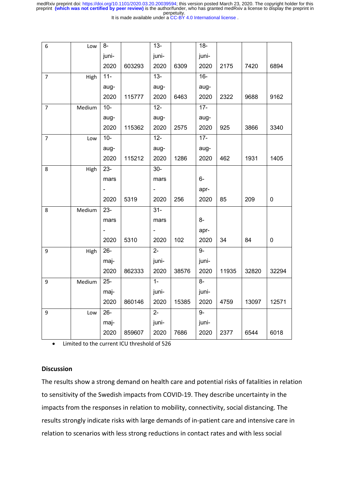|  |  | It is made available under a CC-BY 4.0 International license. |
|--|--|---------------------------------------------------------------|
|--|--|---------------------------------------------------------------|

| 6              | Low    | $8-$   |        | $13 -$                   |       | $18-$  |       |       |           |
|----------------|--------|--------|--------|--------------------------|-------|--------|-------|-------|-----------|
|                |        | juni-  |        | juni-                    |       | juni-  |       |       |           |
|                |        | 2020   | 603293 | 2020                     | 6309  | 2020   | 2175  | 7420  | 6894      |
| $\overline{7}$ | High   | $11 -$ |        | $13 -$                   |       | $16 -$ |       |       |           |
|                |        | aug-   |        | aug-                     |       | aug-   |       |       |           |
|                |        | 2020   | 115777 | 2020                     | 6463  | 2020   | 2322  | 9688  | 9162      |
| $\overline{7}$ | Medium | $10-$  |        | $12 -$                   |       | $17 -$ |       |       |           |
|                |        | aug-   |        | aug-                     |       | aug-   |       |       |           |
|                |        | 2020   | 115362 | 2020                     | 2575  | 2020   | 925   | 3866  | 3340      |
| 7              | Low    | $10-$  |        | $12 -$                   |       | $17 -$ |       |       |           |
|                |        | aug-   |        | aug-                     |       | aug-   |       |       |           |
|                |        | 2020   | 115212 | 2020                     | 1286  | 2020   | 462   | 1931  | 1405      |
| 8              | High   | $23 -$ |        | $30 -$                   |       |        |       |       |           |
|                |        | mars   |        | mars                     |       | $6-$   |       |       |           |
|                |        |        |        |                          |       | apr-   |       |       |           |
|                |        | 2020   | 5319   | 2020                     | 256   | 2020   | 85    | 209   | $\pmb{0}$ |
| 8              | Medium | $23 -$ |        | $31-$                    |       |        |       |       |           |
|                |        | mars   |        | mars                     |       | $8-$   |       |       |           |
|                |        |        |        | $\overline{\phantom{0}}$ |       | apr-   |       |       |           |
|                |        | 2020   | 5310   | 2020                     | 102   | 2020   | 34    | 84    | $\pmb{0}$ |
| 9              | High   | $26 -$ |        | $2 -$                    |       | $9-$   |       |       |           |
|                |        | maj-   |        | juni-                    |       | juni-  |       |       |           |
|                |        | 2020   | 862333 | 2020                     | 38576 | 2020   | 11935 | 32820 | 32294     |
| 9              | Medium | $25 -$ |        | $\overline{1}$           |       | $8-$   |       |       |           |
|                |        | maj-   |        | juni-                    |       | juni-  |       |       |           |
|                |        | 2020   | 860146 | 2020                     | 15385 | 2020   | 4759  | 13097 | 12571     |
| 9              | Low    | $26 -$ |        | $\overline{2}$           |       | $9-$   |       |       |           |
|                |        | maj-   |        | juni-                    |       | juni-  |       |       |           |
|                |        | 2020   | 859607 | 2020                     | 7686  | 2020   | 2377  | 6544  | 6018      |

• Limited to the current ICU threshold of 526

## **Discussion**

The results show a strong demand on health care and potential risks of fatalities in relation to sensitivity of the Swedish impacts from COVID-19. They describe uncertainty in the impacts from the responses in relation to mobility, connectivity, social distancing. The results strongly indicate risks with large demands of in-patient care and intensive care in relation to scenarios with less strong reductions in contact rates and with less social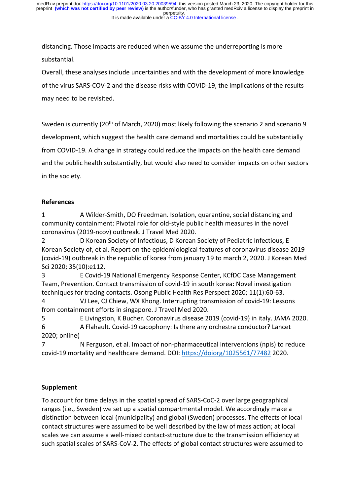distancing. Those impacts are reduced when we assume the underreporting is more substantial.

Overall, these analyses include uncertainties and with the development of more knowledge of the virus SARS-COV-2 and the disease risks with COVID-19, the implications of the results may need to be revisited.

Sweden is currently (20<sup>th</sup> of March, 2020) most likely following the scenario 2 and scenario 9 development, which suggest the health care demand and mortalities could be substantially from COVID-19. A change in strategy could reduce the impacts on the health care demand and the public health substantially, but would also need to consider impacts on other sectors in the society.

# **References**

1 A Wilder-Smith, DO Freedman. Isolation, quarantine, social distancing and community containment: Pivotal role for old-style public health measures in the novel coronavirus (2019-ncov) outbreak. J Travel Med 2020.

2 D Korean Society of Infectious, D Korean Society of Pediatric Infectious, E Korean Society of, et al. Report on the epidemiological features of coronavirus disease 2019 (covid-19) outbreak in the republic of korea from january 19 to march 2, 2020. J Korean Med Sci 2020; 35(10):e112.

3 E Covid-19 National Emergency Response Center, KCfDC Case Management Team, Prevention. Contact transmission of covid-19 in south korea: Novel investigation techniques for tracing contacts. Osong Public Health Res Perspect 2020; 11(1):60-63.

4 VJ Lee, CJ Chiew, WX Khong. Interrupting transmission of covid-19: Lessons from containment efforts in singapore. J Travel Med 2020.

5 E Livingston, K Bucher. Coronavirus disease 2019 (covid-19) in italy. JAMA 2020. 6 A Flahault. Covid-19 cacophony: Is there any orchestra conductor? Lancet 2020; online(

7 N Ferguson, et al. Impact of non-pharmaceutical interventions (npis) to reduce covid-19 mortality and healthcare demand. DOI: https://doiorg/1025561/77482 2020.

# **Supplement**

To account for time delays in the spatial spread of SARS-CoC-2 over large geographical ranges (i.e., Sweden) we set up a spatial compartmental model. We accordingly make a distinction between local (municipality) and global (Sweden) processes. The effects of local contact structures were assumed to be well described by the law of mass action; at local scales we can assume a well-mixed contact-structure due to the transmission efficiency at such spatial scales of SARS-CoV-2. The effects of global contact structures were assumed to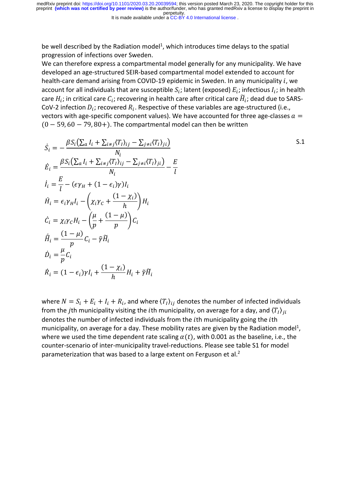perpetuity. preprint **(which was not certified by peer review)** is the author/funder, who has granted medRxiv a license to display the preprint in medRxiv preprint doi: [https://doi.org/10.1101/2020.03.20.20039594;](https://doi.org/10.1101/2020.03.20.20039594) this version posted March 23, 2020. The copyright holder for this

It is made available under a CC-BY 4.0 International license.

be well described by the Radiation model<sup>1</sup>, which introduces time delays to the spatial progression of infections over Sweden.

We can therefore express a compartmental model generally for any municipality. We have developed an age-structured SEIR-based compartmental model extended to account for health-care demand arising from COVID-19 epidemic in Sweden. In any municipality  $i$ , we account for all individuals that are susceptible  $S_i$ ; latent (exposed)  $E_i$ ; infectious  $I_i$ ; in health care  $H_i$ ; in critical care  $C_i$ ; recovering in health care after critical care  $\widetilde{H}_i$ ; dead due to SARS-CoV-2 infection  $D_i$ ; recovered  $R_i$ . Respective of these variables are age-structured (i.e., vectors with age-specific component values). We have accounted for three age-classes  $a =$  $(0 - 59, 60 - 79, 80+)$ . The compartmental model can then be written

$$
\dot{S}_i = -\frac{\beta S_i \left( \sum_a I_i + \sum_{i \neq j} \langle T_I \rangle_{ij} - \sum_{j \neq i} \langle T_I \rangle_{ji} \right)}{N_i}
$$
\n
$$
\dot{E}_i = \frac{\beta S_i \left( \sum_a I_i + \sum_{i \neq j} \langle T_I \rangle_{ij} - \sum_{j \neq i} \langle T_I \rangle_{ji} \right)}{N_i} - \frac{E}{l}
$$
\n
$$
\dot{I}_i = \frac{E}{l} - (\epsilon \gamma_H + (1 - \epsilon_i) \gamma) I_i
$$
\n
$$
\dot{H}_i = \epsilon_i \gamma_H I_i - \left( \chi_i \gamma_C + \frac{(1 - \chi_i)}{h} \right) H_i
$$
\n
$$
\dot{C}_i = \chi_i \gamma_C H_i - \left( \frac{\mu}{p} + \frac{(1 - \mu)}{p} \right) C_i
$$
\n
$$
\dot{H}_i = \frac{(1 - \mu)}{p} C_i - \tilde{\gamma} \tilde{H}_i
$$
\n
$$
\dot{D}_i = \frac{\mu}{p} C_i
$$
\n
$$
\dot{R}_i = (1 - \epsilon_i) \gamma I_i + \frac{(1 - \chi_i)}{h} H_i + \tilde{\gamma} \tilde{H}_i
$$

S.1

where  $N = S_i + E_i + I_i + R_i$ , and where  $\langle T_i \rangle_{ii}$  denotes the number of infected individuals from the jth municipality visiting the *i*th municipality, on average for a day, and  $\langle T_I \rangle_{ii}$ denotes the number of infected individuals from the *i*th municipality going the *i*th municipality, on average for a day. These mobility rates are given by the Radiation model<sup>1</sup>, where we used the time dependent rate scaling  $\alpha(t)$ , with 0.001 as the baseline, i.e., the counter-scenario of inter-municipality travel-reductions. Please see table S1 for model parameterization that was based to a large extent on Ferguson et al.<sup>2</sup>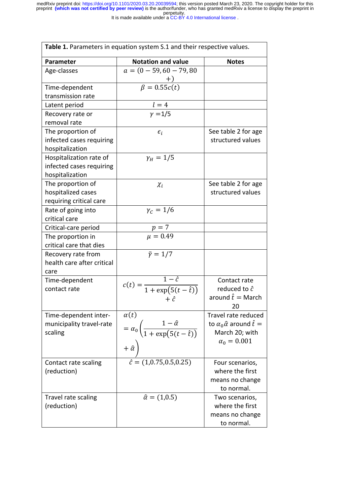It is made available under a CC-BY 4.0 International license.

| Table 1. Parameters in equation system S.1 and their respective values. |                                                                                                                              |                                                                                                              |  |  |  |  |
|-------------------------------------------------------------------------|------------------------------------------------------------------------------------------------------------------------------|--------------------------------------------------------------------------------------------------------------|--|--|--|--|
| <b>Parameter</b>                                                        | <b>Notation and value</b>                                                                                                    | <b>Notes</b>                                                                                                 |  |  |  |  |
| Age-classes                                                             | $a = (0 - 59, 60 - 79, 80)$                                                                                                  |                                                                                                              |  |  |  |  |
| Time-dependent                                                          | $\beta = 0.55c(t)$                                                                                                           |                                                                                                              |  |  |  |  |
| transmission rate                                                       |                                                                                                                              |                                                                                                              |  |  |  |  |
| Latent period                                                           | $\frac{l=4}{\gamma=1/5}$                                                                                                     |                                                                                                              |  |  |  |  |
| Recovery rate or                                                        |                                                                                                                              |                                                                                                              |  |  |  |  |
| removal rate                                                            |                                                                                                                              |                                                                                                              |  |  |  |  |
| The proportion of<br>infected cases requiring<br>hospitalization        | $\epsilon_i$                                                                                                                 | See table 2 for age<br>structured values                                                                     |  |  |  |  |
| Hospitalization rate of<br>infected cases requiring<br>hospitalization  | $\gamma_{H} = 1/5$                                                                                                           |                                                                                                              |  |  |  |  |
| The proportion of<br>hospitalized cases<br>requiring critical care      | $\chi_i$                                                                                                                     | See table 2 for age<br>structured values                                                                     |  |  |  |  |
| Rate of going into<br>critical care                                     | $\gamma_c = 1/6$                                                                                                             |                                                                                                              |  |  |  |  |
| Critical-care period                                                    |                                                                                                                              |                                                                                                              |  |  |  |  |
| The proportion in<br>critical care that dies                            | $p = 7$<br>$\mu = 0.49$                                                                                                      |                                                                                                              |  |  |  |  |
| Recovery rate from<br>health care after critical<br>care                | $\tilde{\gamma} = 1/7$                                                                                                       |                                                                                                              |  |  |  |  |
| Time-dependent<br>contact rate                                          | $c(t) = \frac{1 - \hat{c}}{1 + \exp(5(t - \hat{t}))}$<br>$+ \hat{c}$                                                         | Contact rate<br>reduced to $\hat{c}$<br>around $\hat{t} = \text{March}$<br>20                                |  |  |  |  |
| Time-dependent inter-<br>municipality travel-rate<br>scaling            | $\alpha(t)$<br>$= \alpha_0 \left( \frac{1 - \hat{\alpha}}{1 + \exp\left( 5(t - \hat{t}) \right)} \right)$<br>$+\hat{\alpha}$ | Travel rate reduced<br>to $\alpha_0 \hat{\alpha}$ around $\hat{t} =$<br>March 20; with<br>$\alpha_0 = 0.001$ |  |  |  |  |
| Contact rate scaling<br>(reduction)                                     | $\hat{c} = (1, 0.75, 0.5, 0.25)$                                                                                             | Four scenarios,<br>where the first<br>means no change<br>to normal.                                          |  |  |  |  |
| Travel rate scaling<br>(reduction)                                      | $\hat{\alpha} = (1, 0.5)$                                                                                                    | Two scenarios,<br>where the first<br>means no change<br>to normal.                                           |  |  |  |  |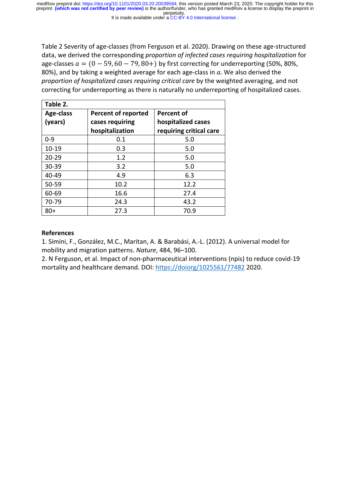perpetuity. preprint **(which was not certified by peer review)** is the author/funder, who has granted medRxiv a license to display the preprint in medRxiv preprint doi: [https://doi.org/10.1101/2020.03.20.20039594;](https://doi.org/10.1101/2020.03.20.20039594) this version posted March 23, 2020. The copyright holder for this

It is made available under a CC-BY 4.0 International license.

Table 2 Severity of age-classes (from Ferguson et al. 2020). Drawing on these age-structured data, we derived the corresponding *proportion of infected cases requiring hospitalization* for age-classes  $a = (0 - 59, 60 - 79, 80+)$  by first correcting for underreporting (50%, 80%, 80%), and by taking a weighted average for each age-class in  $a$ . We also derived the *proportion of hospitalized cases requiring critical care* by the weighted averaging, and not correcting for underreporting as there is naturally no underreporting of hospitalized cases.

| Table 2.  |                            |                         |
|-----------|----------------------------|-------------------------|
| Age-class | <b>Percent of reported</b> | Percent of              |
| (years)   | cases requiring            | hospitalized cases      |
|           | hospitalization            | requiring critical care |
| $0 - 9$   | 0.1                        | 5.0                     |
| $10 - 19$ | 0.3                        | 5.0                     |
| $20 - 29$ | 1.2                        | 5.0                     |
| 30-39     | 3.2                        | 5.0                     |
| 40-49     | 4.9                        | 6.3                     |
| 50-59     | 10.2                       | 12.2                    |
| 60-69     | 16.6                       | 27.4                    |
| 70-79     | 24.3                       | 43.2                    |
| $80+$     | 27.3                       | 70.9                    |

# **References**

1. Simini, F., González, M.C., Maritan, A. & Barabási, A.-L. (2012). A universal model for mobility and migration patterns. *Nature*, 484, 96–100.

2. N Ferguson, et al. Impact of non-pharmaceutical interventions (npis) to reduce covid-19 mortality and healthcare demand. DOI: https://doiorg/1025561/77482 2020.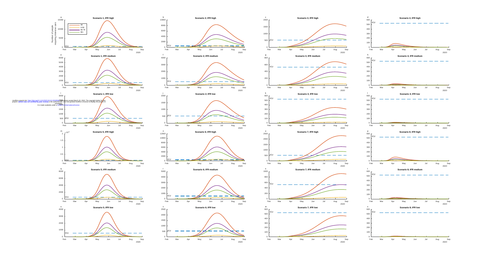